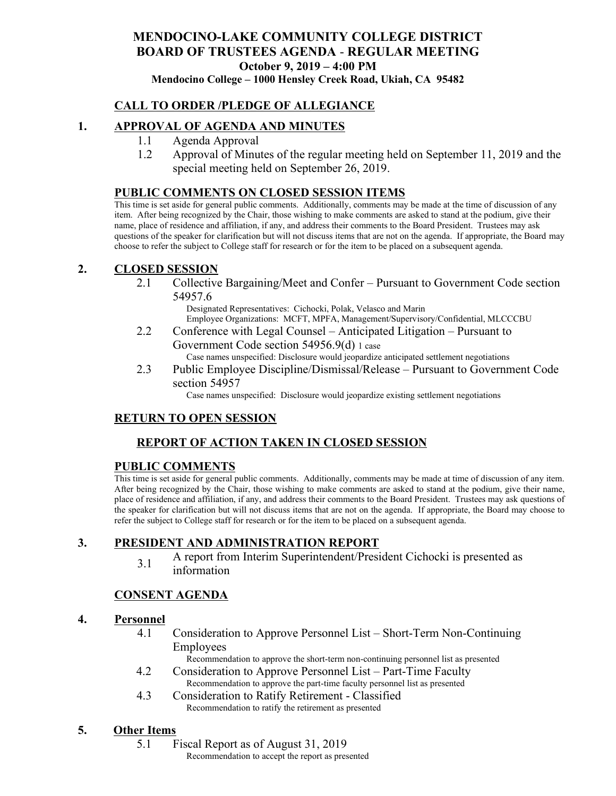# **MENDOCINO-LAKE COMMUNITY COLLEGE DISTRICT BOARD OF TRUSTEES AGENDA** - **REGULAR MEETING October 9, 2019 – 4:00 PM**

**Mendocino College – 1000 Hensley Creek Road, Ukiah, CA 95482**

# **CALL TO ORDER /PLEDGE OF ALLEGIANCE**

### **1. APPROVAL OF AGENDA AND MINUTES**

- 1.1 Agenda Approval
- 1.2 Approval of Minutes of the regular meeting held on September 11, 2019 and the special meeting held on September 26, 2019.

### **PUBLIC COMMENTS ON CLOSED SESSION ITEMS**

This time is set aside for general public comments. Additionally, comments may be made at the time of discussion of any item. After being recognized by the Chair, those wishing to make comments are asked to stand at the podium, give their name, place of residence and affiliation, if any, and address their comments to the Board President. Trustees may ask questions of the speaker for clarification but will not discuss items that are not on the agenda. If appropriate, the Board may choose to refer the subject to College staff for research or for the item to be placed on a subsequent agenda.

### **2. CLOSED SESSION**

2.1 Collective Bargaining/Meet and Confer – Pursuant to Government Code section 54957.6

> Designated Representatives: Cichocki, Polak, Velasco and Marin Employee Organizations: MCFT, MPFA, Management/Supervisory/Confidential, MLCCCBU

- 2.2 Conference with Legal Counsel Anticipated Litigation Pursuant to Government Code section 54956.9(d) 1 case
	- Case names unspecified: Disclosure would jeopardize anticipated settlement negotiations
- 2.3 Public Employee Discipline/Dismissal/Release Pursuant to Government Code section 54957

Case names unspecified: Disclosure would jeopardize existing settlement negotiations

# **RETURN TO OPEN SESSION**

# **REPORT OF ACTION TAKEN IN CLOSED SESSION**

### **PUBLIC COMMENTS**

This time is set aside for general public comments. Additionally, comments may be made at time of discussion of any item. After being recognized by the Chair, those wishing to make comments are asked to stand at the podium, give their name, place of residence and affiliation, if any, and address their comments to the Board President. Trustees may ask questions of the speaker for clarification but will not discuss items that are not on the agenda. If appropriate, the Board may choose to refer the subject to College staff for research or for the item to be placed on a subsequent agenda.

### **3. PRESIDENT AND ADMINISTRATION REPORT**

3.1 A report from Interim Superintendent/President Cichocki is presented as information

# **CONSENT AGENDA**

### **4. Personnel**

4.1 Consideration to Approve Personnel List – Short-Term Non-Continuing Employees

Recommendation to approve the short-term non-continuing personnel list as presented

- 4.2 Consideration to Approve Personnel List Part-Time Faculty Recommendation to approve the part-time faculty personnel list as presented
- 4.3 Consideration to Ratify Retirement Classified Recommendation to ratify the retirement as presented

### **5. Other Items**

- 5.1 Fiscal Report as of August 31, 2019
	- Recommendation to accept the report as presented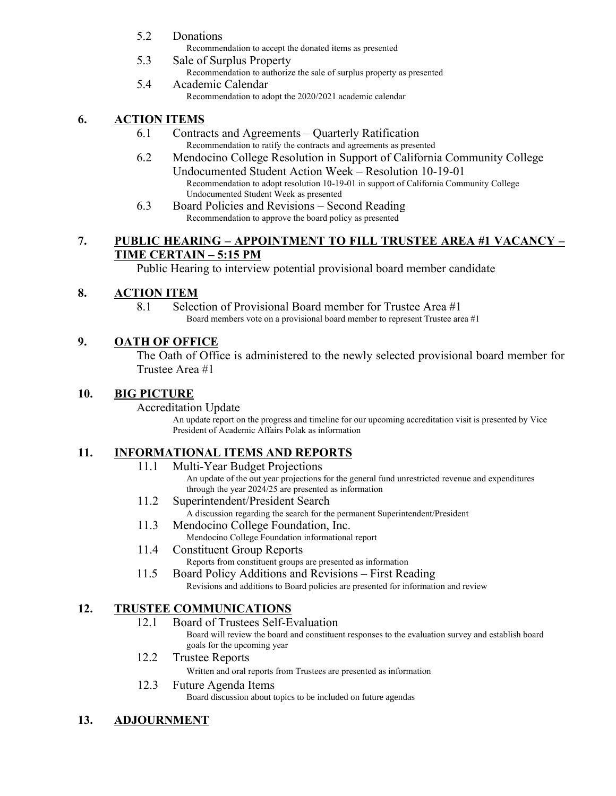- 5.2 Donations
	- Recommendation to accept the donated items as presented
- 5.3 Sale of Surplus Property Recommendation to authorize the sale of surplus property as presented
- 5.4 Academic Calendar Recommendation to adopt the 2020/2021 academic calendar

# **6. ACTION ITEMS**

- 6.1 Contracts and Agreements Quarterly Ratification Recommendation to ratify the contracts and agreements as presented
- 6.2 Mendocino College Resolution in Support of California Community College Undocumented Student Action Week – Resolution 10-19-01 Recommendation to adopt resolution 10-19-01 in support of California Community College Undocumented Student Week as presented
- 6.3 Board Policies and Revisions Second Reading Recommendation to approve the board policy as presented

# **7. PUBLIC HEARING – APPOINTMENT TO FILL TRUSTEE AREA #1 VACANCY – TIME CERTAIN – 5:15 PM**

Public Hearing to interview potential provisional board member candidate

# **8. ACTION ITEM**

8.1 Selection of Provisional Board member for Trustee Area #1 Board members vote on a provisional board member to represent Trustee area #1

# **9. OATH OF OFFICE**

The Oath of Office is administered to the newly selected provisional board member for Trustee Area #1

# **10. BIG PICTURE**

### Accreditation Update

An update report on the progress and timeline for our upcoming accreditation visit is presented by Vice President of Academic Affairs Polak as information

# **11. INFORMATIONAL ITEMS AND REPORTS**

11.1 Multi-Year Budget Projections

An update of the out year projections for the general fund unrestricted revenue and expenditures through the year 2024/25 are presented as information

- 11.2 Superintendent/President Search
	- A discussion regarding the search for the permanent Superintendent/President
- 11.3 Mendocino College Foundation, Inc.
	- Mendocino College Foundation informational report
- 11.4 Constituent Group Reports Reports from constituent groups are presented as information
- 11.5 Board Policy Additions and Revisions First Reading Revisions and additions to Board policies are presented for information and review

# **12. TRUSTEE COMMUNICATIONS**

- 12.1 Board of Trustees Self-Evaluation Board will review the board and constituent responses to the evaluation survey and establish board
- goals for the upcoming year 12.2 Trustee Reports
	-

Written and oral reports from Trustees are presented as information

### 12.3 Future Agenda Items

Board discussion about topics to be included on future agendas

# **13. ADJOURNMENT**